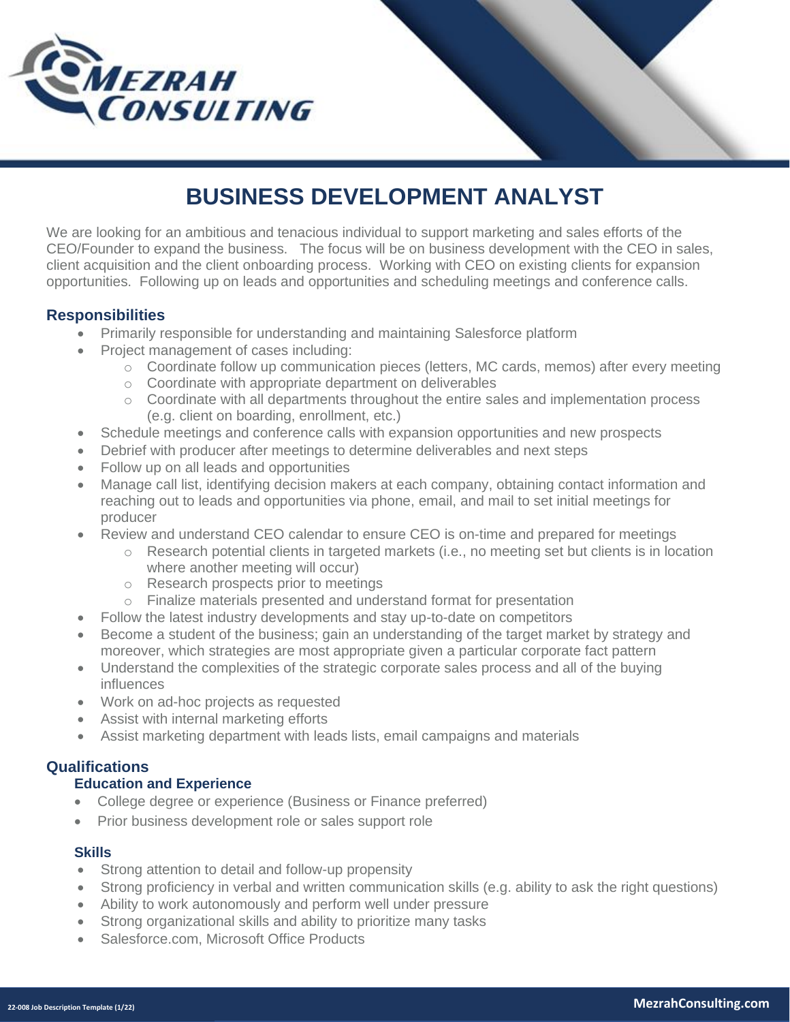



# **BUSINESS DEVELOPMENT ANALYST**

We are looking for an ambitious and tenacious individual to support marketing and sales efforts of the CEO/Founder to expand the business. The focus will be on business development with the CEO in sales, client acquisition and the client onboarding process. Working with CEO on existing clients for expansion opportunities. Following up on leads and opportunities and scheduling meetings and conference calls.

### **Responsibilities**

- Primarily responsible for understanding and maintaining Salesforce platform
- Project management of cases including:
	- o Coordinate follow up communication pieces (letters, MC cards, memos) after every meeting
	- o Coordinate with appropriate department on deliverables
	- o Coordinate with all departments throughout the entire sales and implementation process (e.g. client on boarding, enrollment, etc.)
- Schedule meetings and conference calls with expansion opportunities and new prospects
- Debrief with producer after meetings to determine deliverables and next steps
- Follow up on all leads and opportunities
- Manage call list, identifying decision makers at each company, obtaining contact information and reaching out to leads and opportunities via phone, email, and mail to set initial meetings for producer
- Review and understand CEO calendar to ensure CEO is on-time and prepared for meetings
	- $\circ$  Research potential clients in targeted markets (i.e., no meeting set but clients is in location where another meeting will occur)
	- o Research prospects prior to meetings
	- o Finalize materials presented and understand format for presentation
- Follow the latest industry developments and stay up-to-date on competitors
- Become a student of the business; gain an understanding of the target market by strategy and moreover, which strategies are most appropriate given a particular corporate fact pattern
- Understand the complexities of the strategic corporate sales process and all of the buying influences
- Work on ad-hoc projects as requested
- Assist with internal marketing efforts
- Assist marketing department with leads lists, email campaigns and materials

## **Qualifications**

#### **Education and Experience**

- College degree or experience (Business or Finance preferred)
- Prior business development role or sales support role

#### **Skills**

- Strong attention to detail and follow-up propensity
- Strong proficiency in verbal and written communication skills (e.g. ability to ask the right questions)
- Ability to work autonomously and perform well under pressure
- Strong organizational skills and ability to prioritize many tasks
- Salesforce.com, Microsoft Office Products